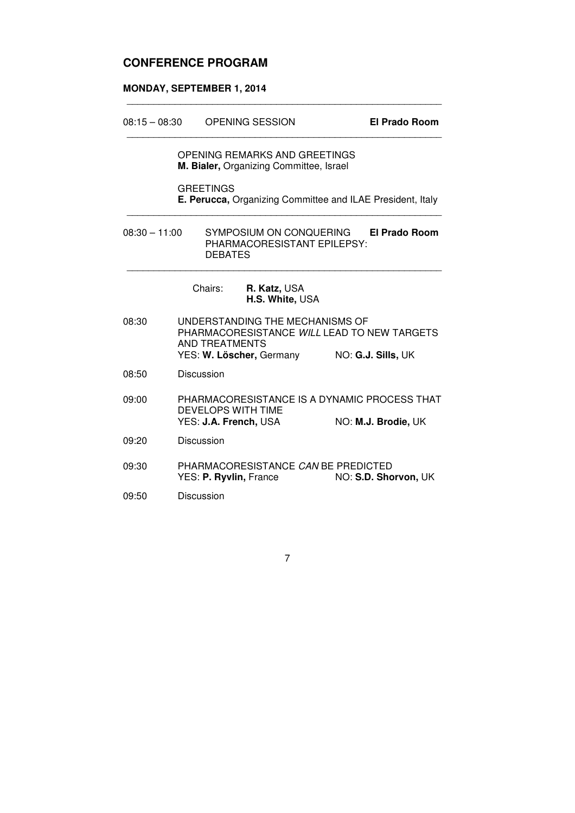# **CONFERENCE PROGRAM**

#### **MONDAY, SEPTEMBER 1, 2014**

| $08:15 - 08:30$ |                                                                                                           | <b>OPENING SESSION</b> |                                                                                                            |  | <b>El Prado Room</b>                                                |
|-----------------|-----------------------------------------------------------------------------------------------------------|------------------------|------------------------------------------------------------------------------------------------------------|--|---------------------------------------------------------------------|
|                 |                                                                                                           |                        | OPENING REMARKS AND GREETINGS<br>M. Bialer, Organizing Committee, Israel                                   |  |                                                                     |
|                 |                                                                                                           | <b>GREETINGS</b>       | E. Perucca, Organizing Committee and ILAE President, Italy                                                 |  |                                                                     |
|                 | SYMPOSIUM ON CONQUERING El Prado Room<br>$08:30 - 11:00$<br>PHARMACORESISTANT EPILEPSY:<br><b>DEBATES</b> |                        |                                                                                                            |  |                                                                     |
|                 |                                                                                                           | Chairs:                | R. Katz, USA<br>H.S. White, USA                                                                            |  |                                                                     |
| 08:30           |                                                                                                           | AND TREATMENTS         | UNDERSTANDING THE MECHANISMS OF<br>PHARMACORESISTANCE WILL LEAD TO NEW TARGETS<br>YES: W. Löscher, Germany |  | NO: G.J. Sills, UK                                                  |
| 08:50           |                                                                                                           | <b>Discussion</b>      |                                                                                                            |  |                                                                     |
| 09:00           |                                                                                                           |                        | <b>DEVELOPS WITH TIME</b><br>YES: J.A. French, USA                                                         |  | PHARMACORESISTANCE IS A DYNAMIC PROCESS THAT<br>NO: M.J. Brodie, UK |
| 09:20           |                                                                                                           | Discussion             |                                                                                                            |  |                                                                     |
| 09:30           |                                                                                                           |                        | PHARMACORESISTANCE CAN BE PREDICTED<br>YES: <b>P. Ryvlin,</b> France                                       |  | NO: S.D. Shorvon, UK                                                |
| 09:50           |                                                                                                           | Discussion             |                                                                                                            |  |                                                                     |

\_\_\_\_\_\_\_\_\_\_\_\_\_\_\_\_\_\_\_\_\_\_\_\_\_\_\_\_\_\_\_\_\_\_\_\_\_\_\_\_\_\_\_\_\_\_\_\_\_\_\_\_\_\_\_\_\_\_\_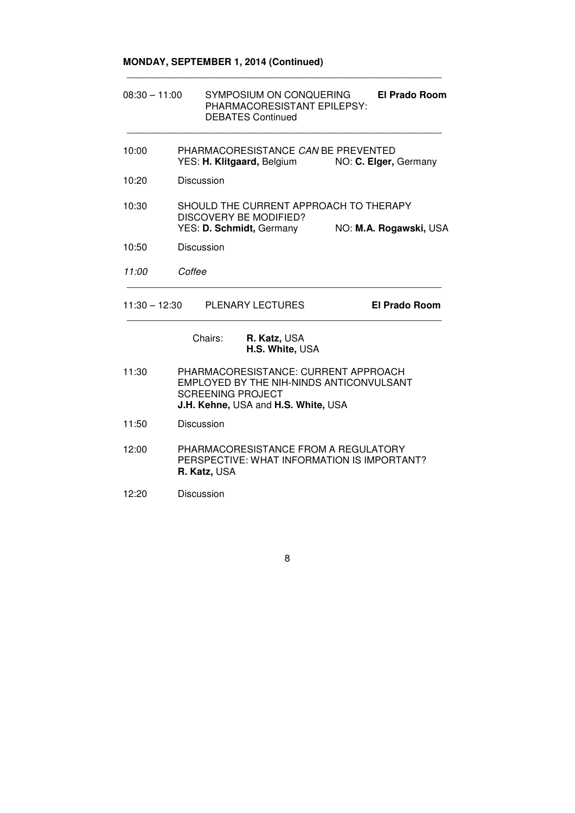## **MONDAY, SEPTEMBER 1, 2014 (Continued)**

| $08:30 - 11:00$ | SYMPOSIUM ON CONQUERING<br><b>El Prado Room</b><br>PHARMACORESISTANT EPILEPSY:<br><b>DEBATES Continued</b>                                          |
|-----------------|-----------------------------------------------------------------------------------------------------------------------------------------------------|
| 10:00           | PHARMACORESISTANCE CAN BE PREVENTED<br>YES: H. Klitgaard, Belgium NO: C. Elger, Germany                                                             |
| 10:20           | Discussion                                                                                                                                          |
| 10:30           | SHOULD THE CURRENT APPROACH TO THERAPY<br>DISCOVERY BE MODIFIED?<br>YES: D. Schmidt, Germany<br>NO: M.A. Rogawski, USA                              |
| 10:50           | Discussion                                                                                                                                          |
| 11:00           | Coffee                                                                                                                                              |
|                 | 11:30 - 12:30 PLENARY LECTURES<br><b>El Prado Room</b>                                                                                              |
|                 | Chairs:<br>R. Katz, USA<br>H.S. White, USA                                                                                                          |
| 11:30           | PHARMACORESISTANCE: CURRENT APPROACH<br>EMPLOYED BY THE NIH-NINDS ANTICONVULSANT<br><b>SCREENING PROJECT</b><br>J.H. Kehne, USA and H.S. White, USA |
| 11:50           | Discussion                                                                                                                                          |
| 12:00           | PHARMACORESISTANCE FROM A REGULATORY<br>PERSPECTIVE: WHAT INFORMATION IS IMPORTANT?<br>R. Katz, USA                                                 |
| 12:20           | Discussion                                                                                                                                          |

\_\_\_\_\_\_\_\_\_\_\_\_\_\_\_\_\_\_\_\_\_\_\_\_\_\_\_\_\_\_\_\_\_\_\_\_\_\_\_\_\_\_\_\_\_\_\_\_\_\_\_\_\_\_\_\_\_\_\_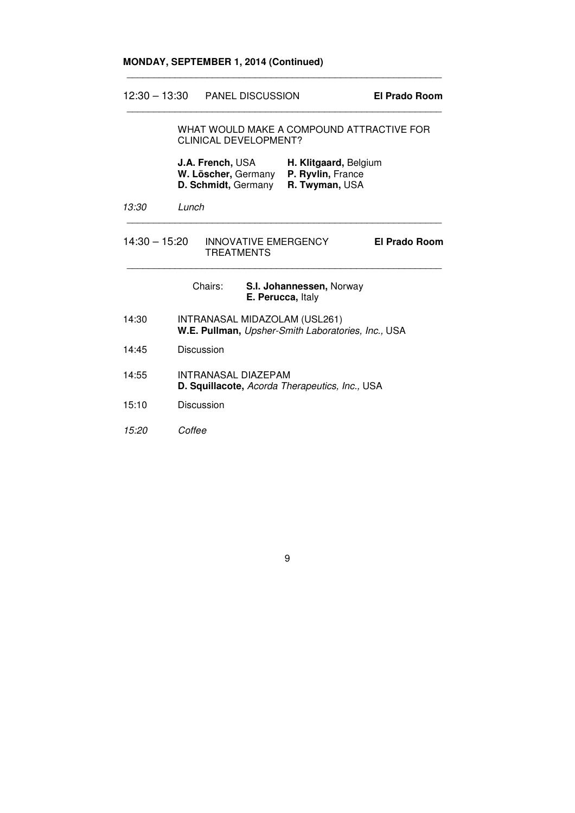#### **MONDAY, SEPTEMBER 1, 2014 (Continued)**

12:30 – 13:30 PANEL DISCUSSION **El Prado Room**

WHAT WOULD MAKE A COMPOUND ATTRACTIVE FOR CLINICAL DEVELOPMENT?

| J.A. French, USA    | H. Klitgaard, Belgium    |
|---------------------|--------------------------|
| W. Löscher, Germany | <b>P. Ryvlin, France</b> |
| D. Schmidt, Germany | R. Twyman, USA           |

\_\_\_\_\_\_\_\_\_\_\_\_\_\_\_\_\_\_\_\_\_\_\_\_\_\_\_\_\_\_\_\_\_\_\_\_\_\_\_\_\_\_\_\_\_\_\_\_\_\_\_\_\_\_\_\_\_\_\_

\_\_\_\_\_\_\_\_\_\_\_\_\_\_\_\_\_\_\_\_\_\_\_\_\_\_\_\_\_\_\_\_\_\_\_\_\_\_\_\_\_\_\_\_\_\_\_\_\_\_\_\_\_\_\_\_\_\_\_

13:30 Lunch

14:30 – 15:20INNOVATIVE EMERGENCY **El Prado Room** TREATMENTS \_\_\_\_\_\_\_\_\_\_\_\_\_\_\_\_\_\_\_\_\_\_\_\_\_\_\_\_\_\_\_\_\_\_\_\_\_\_\_\_\_\_\_\_\_\_\_\_\_\_\_\_\_\_\_\_\_\_\_

\_\_\_\_\_\_\_\_\_\_\_\_\_\_\_\_\_\_\_\_\_\_\_\_\_\_\_\_\_\_\_\_\_\_\_\_\_\_\_\_\_\_\_\_\_\_\_\_\_\_\_\_\_\_\_\_\_\_\_

|       | Chairs:<br>S.I. Johannessen, Norway<br>E. Perucca, Italy                            |
|-------|-------------------------------------------------------------------------------------|
| 14:30 | INTRANASAL MIDAZOLAM (USL261)<br>W.E. Pullman, Upsher-Smith Laboratories, Inc., USA |
| 14:45 | Discussion                                                                          |
| 14:55 | INTRANASAL DIAZEPAM<br><b>D. Squillacote, Acorda Therapeutics, Inc., USA</b>        |
| 15:10 | Discussion                                                                          |
| 15:20 | Coffee                                                                              |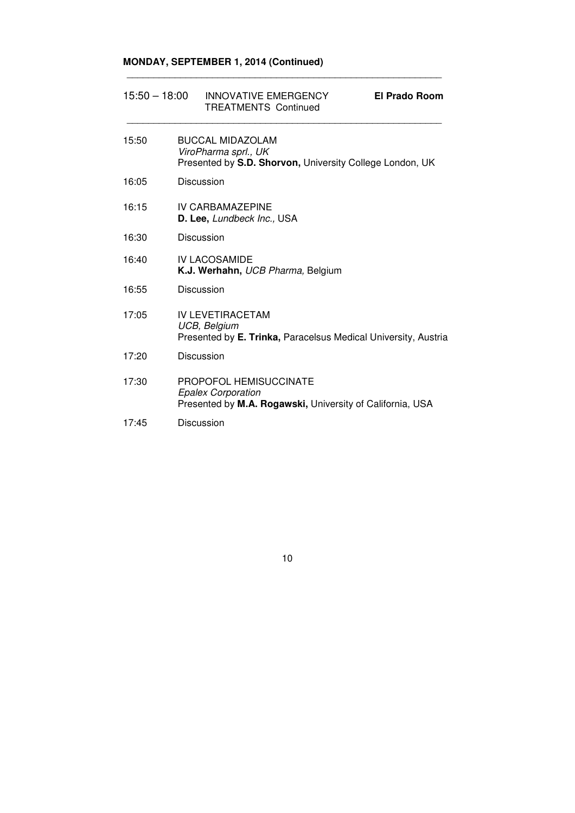## **MONDAY, SEPTEMBER 1, 2014 (Continued)**

| $15:50 - 18:00$ |  | <b>INNOVATIVE EMERGENCY</b><br><b>TREATMENTS Continued</b>                                                              | El Prado Room |
|-----------------|--|-------------------------------------------------------------------------------------------------------------------------|---------------|
| 15:50           |  | <b>BUCCAL MIDAZOLAM</b><br>ViroPharma sprl., UK<br>Presented by S.D. Shorvon, University College London, UK             |               |
| 16:05           |  | <b>Discussion</b>                                                                                                       |               |
| 16:15           |  | IV CARBAMAZEPINE<br>D. Lee, Lundbeck Inc., USA                                                                          |               |
| 16:30           |  | Discussion                                                                                                              |               |
| 16:40           |  | <b>IV LACOSAMIDE</b><br>K.J. Werhahn, UCB Pharma, Belgium                                                               |               |
| 16:55           |  | Discussion                                                                                                              |               |
| 17:05           |  | <b>IV LEVETIRACETAM</b><br>UCB, Belgium<br>Presented by E. Trinka, Paracelsus Medical University, Austria               |               |
| 17:20           |  | Discussion                                                                                                              |               |
| 17:30           |  | <b>PROPOFOL HEMISUCCINATE</b><br><b>Epalex Corporation</b><br>Presented by M.A. Rogawski, University of California, USA |               |
| 17:45           |  | Discussion                                                                                                              |               |

\_\_\_\_\_\_\_\_\_\_\_\_\_\_\_\_\_\_\_\_\_\_\_\_\_\_\_\_\_\_\_\_\_\_\_\_\_\_\_\_\_\_\_\_\_\_\_\_\_\_\_\_\_\_\_\_\_\_\_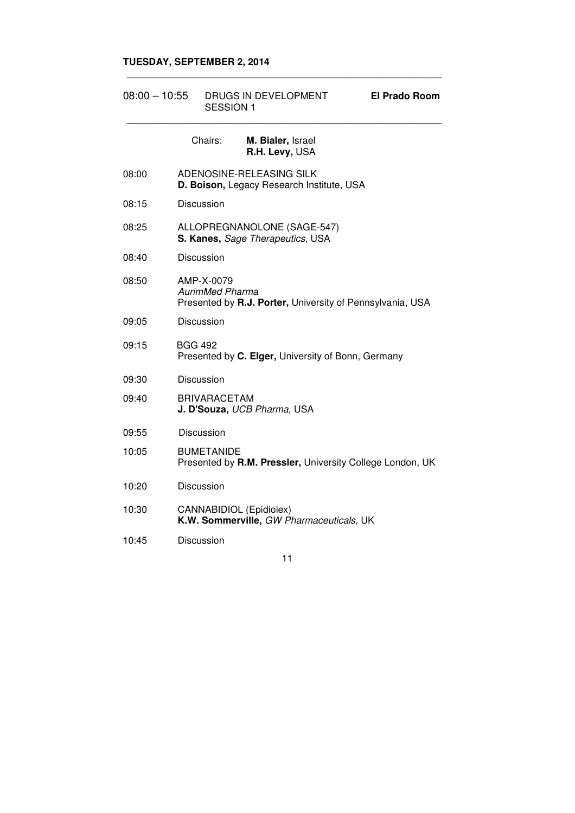#### **TUESDAY, SEPTEMBER 2, 2014**

| $08:00 - 10:55$ | DRUGS IN DEVELOPMENT<br><b>SESSION 1</b>                                                          | <b>El Prado Room</b> |
|-----------------|---------------------------------------------------------------------------------------------------|----------------------|
|                 | Chairs:<br>M. Bialer, Israel<br>R.H. Levy, USA                                                    |                      |
| 08:00           | ADENOSINE-RELEASING SILK<br>D. Boison, Legacy Research Institute, USA                             |                      |
| 08:15           | <b>Discussion</b>                                                                                 |                      |
| 08:25           | ALLOPREGNANOLONE (SAGE-547)<br>S. Kanes, Sage Therapeutics, USA                                   |                      |
| 08:40           | <b>Discussion</b>                                                                                 |                      |
| 08:50           | AMP-X-0079<br><b>AurimMed Pharma</b><br>Presented by R.J. Porter, University of Pennsylvania, USA |                      |
| 09:05           | <b>Discussion</b>                                                                                 |                      |
| 09:15           | <b>BGG 492</b><br>Presented by C. Elger, University of Bonn, Germany                              |                      |
| 09:30           | <b>Discussion</b>                                                                                 |                      |
| 09:40           | <b>BRIVARACETAM</b><br>J. D'Souza, UCB Pharma, USA                                                |                      |
| 09:55           | Discussion                                                                                        |                      |
| 10:05           | <b>BUMETANIDE</b><br>Presented by R.M. Pressler, University College London, UK                    |                      |
| 10:20           | <b>Discussion</b>                                                                                 |                      |
| 10:30           | CANNABIDIOL (Epidiolex)<br>K.W. Sommerville, GW Pharmaceuticals, UK                               |                      |
| 10:45           | <b>Discussion</b>                                                                                 |                      |

\_\_\_\_\_\_\_\_\_\_\_\_\_\_\_\_\_\_\_\_\_\_\_\_\_\_\_\_\_\_\_\_\_\_\_\_\_\_\_\_\_\_\_\_\_\_\_\_\_\_\_\_\_\_\_\_\_\_\_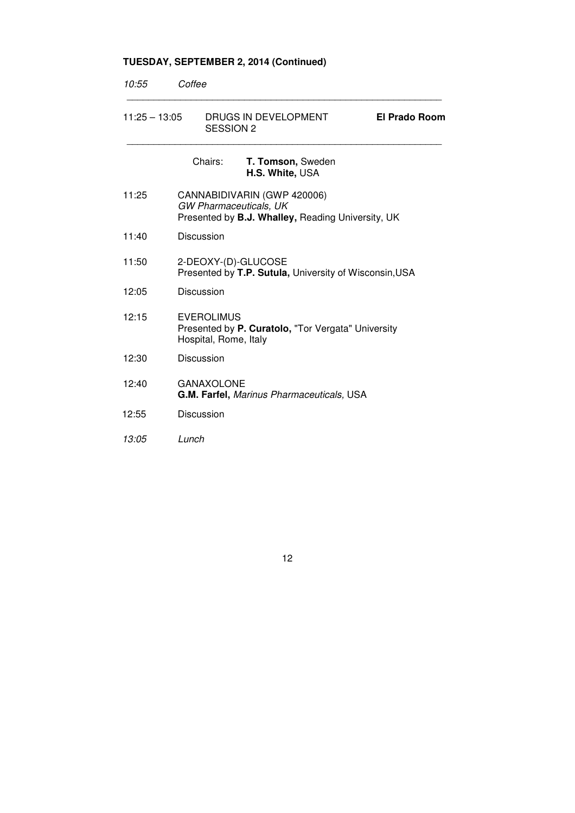# **TUESDAY, SEPTEMBER 2, 2014 (Continued)**

| 10:55           | Coffee                                                                                                     |
|-----------------|------------------------------------------------------------------------------------------------------------|
| $11:25 - 13:05$ | DRUGS IN DEVELOPMENT<br><b>El Prado Room</b><br><b>SESSION 2</b>                                           |
|                 | Chairs:<br>T. Tomson, Sweden<br>H.S. White, USA                                                            |
| 11:25           | CANNABIDIVARIN (GWP 420006)<br>GW Pharmaceuticals, UK<br>Presented by B.J. Whalley, Reading University, UK |
| 11:40           | Discussion                                                                                                 |
| 11:50           | 2-DEOXY-(D)-GLUCOSE<br>Presented by T.P. Sutula, University of Wisconsin, USA                              |
| 12:05           | <b>Discussion</b>                                                                                          |
| 12:15           | <b>EVEROLIMUS</b><br>Presented by P. Curatolo, "Tor Vergata" University<br>Hospital, Rome, Italy           |
| 12:30           | <b>Discussion</b>                                                                                          |
| 12:40           | <b>GANAXOLONE</b><br>G.M. Farfel, Marinus Pharmaceuticals, USA                                             |
| 12:55           | Discussion                                                                                                 |
| 13:05           | Lunch                                                                                                      |
|                 |                                                                                                            |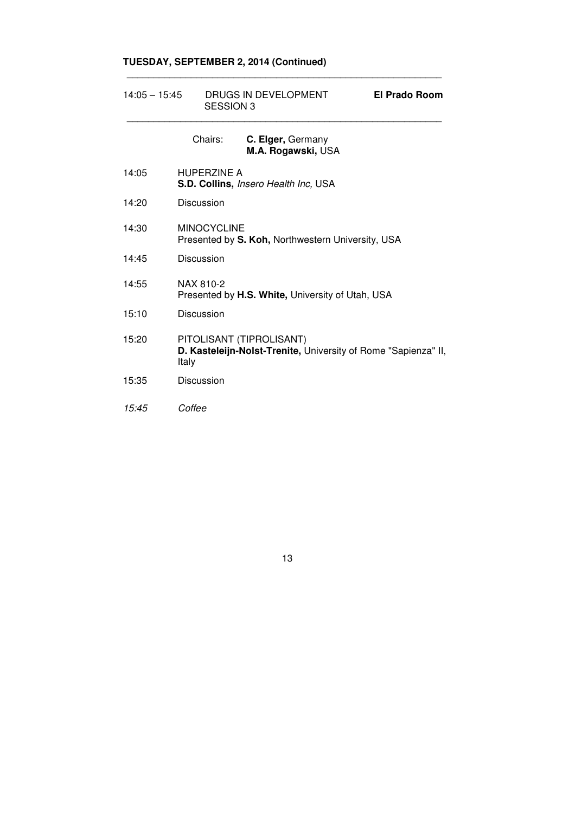## **TUESDAY, SEPTEMBER 2, 2014 (Continued)**

| $14:05 - 15:45$ |        | DRUGS IN DEVELOPMENT<br><b>SESSION 3</b> |                                                                                            | El Prado Room |
|-----------------|--------|------------------------------------------|--------------------------------------------------------------------------------------------|---------------|
|                 |        | Chairs:                                  | C. Elger, Germany<br>M.A. Rogawski, USA                                                    |               |
| 14:05           |        | <b>HUPERZINE A</b>                       | S.D. Collins, Insero Health Inc, USA                                                       |               |
| 14:20           |        | Discussion                               |                                                                                            |               |
| 14:30           |        | <b>MINOCYCLINE</b>                       | Presented by S. Koh, Northwestern University, USA                                          |               |
| 14:45           |        | Discussion                               |                                                                                            |               |
| 14:55           |        | NAX 810-2                                | Presented by H.S. White, University of Utah, USA                                           |               |
| 15:10           |        | <b>Discussion</b>                        |                                                                                            |               |
| 15:20           | Italy  |                                          | PITOLISANT (TIPROLISANT)<br>D. Kasteleijn-Nolst-Trenite, University of Rome "Sapienza" II, |               |
| 15:35           |        | <b>Discussion</b>                        |                                                                                            |               |
| 15:45           | Coffee |                                          |                                                                                            |               |

\_\_\_\_\_\_\_\_\_\_\_\_\_\_\_\_\_\_\_\_\_\_\_\_\_\_\_\_\_\_\_\_\_\_\_\_\_\_\_\_\_\_\_\_\_\_\_\_\_\_\_\_\_\_\_\_\_\_\_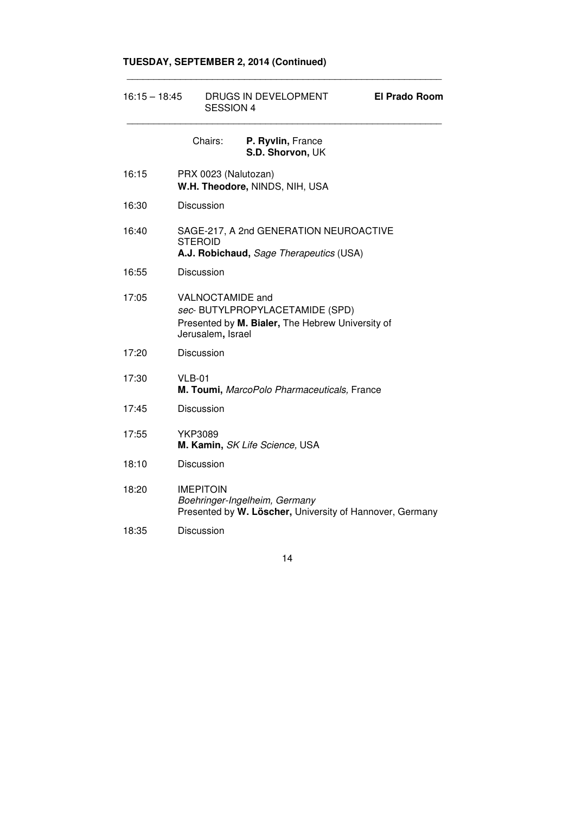## **TUESDAY, SEPTEMBER 2, 2014 (Continued)**

| $16:15 - 18:45$ |                                       | DRUGS IN DEVELOPMENT<br><b>SESSION 4</b>                                                  |  |
|-----------------|---------------------------------------|-------------------------------------------------------------------------------------------|--|
|                 | Chairs:                               | P. Ryvlin, France<br>S.D. Shorvon, UK                                                     |  |
| 16:15           | PRX 0023 (Nalutozan)                  | W.H. Theodore, NINDS, NIH, USA                                                            |  |
| 16:30           | Discussion                            |                                                                                           |  |
| 16:40           | <b>STEROID</b>                        | SAGE-217, A 2nd GENERATION NEUROACTIVE<br>A.J. Robichaud, Sage Therapeutics (USA)         |  |
| 16:55           | Discussion                            |                                                                                           |  |
| 17:05           | VALNOCTAMIDE and<br>Jerusalem, Israel | sec-BUTYLPROPYLACETAMIDE (SPD)<br>Presented by M. Bialer, The Hebrew University of        |  |
| 17:20           | Discussion                            |                                                                                           |  |
| 17:30           | $VLB-01$                              | M. Toumi, MarcoPolo Pharmaceuticals, France                                               |  |
| 17:45           | Discussion                            |                                                                                           |  |
| 17:55           | <b>YKP3089</b>                        | M. Kamin, SK Life Science, USA                                                            |  |
| 18:10           | Discussion                            |                                                                                           |  |
| 18:20           | <b>IMEPITOIN</b>                      | Boehringer-Ingelheim, Germany<br>Presented by W. Löscher, University of Hannover, Germany |  |
| 18:35           | Discussion                            |                                                                                           |  |

\_\_\_\_\_\_\_\_\_\_\_\_\_\_\_\_\_\_\_\_\_\_\_\_\_\_\_\_\_\_\_\_\_\_\_\_\_\_\_\_\_\_\_\_\_\_\_\_\_\_\_\_\_\_\_\_\_\_\_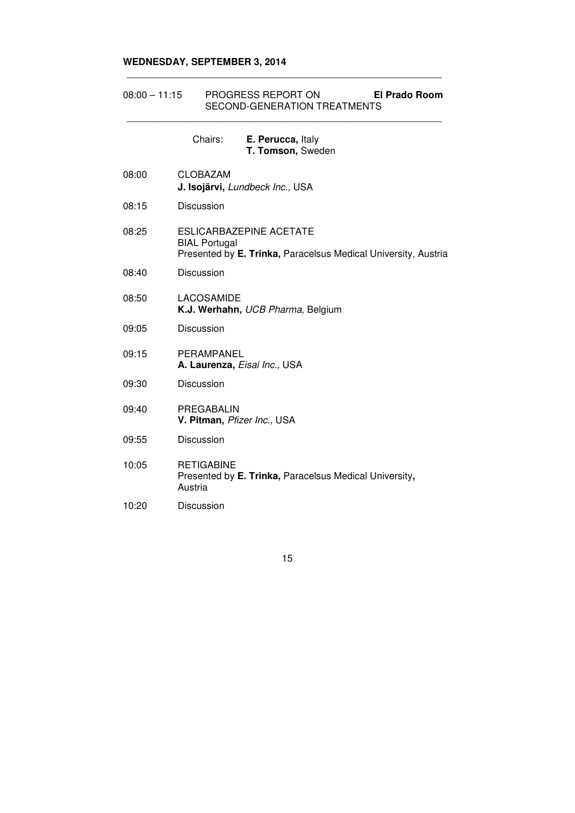#### **WEDNESDAY, SEPTEMBER 3, 2014**

#### 08:00 – 11:15 PROGRESS REPORT ON **El Prado Room**  SECOND-GENERATION TREATMENTS \_\_\_\_\_\_\_\_\_\_\_\_\_\_\_\_\_\_\_\_\_\_\_\_\_\_\_\_\_\_\_\_\_\_\_\_\_\_\_\_\_\_\_\_\_\_\_\_\_\_\_\_\_\_\_\_\_\_\_

\_\_\_\_\_\_\_\_\_\_\_\_\_\_\_\_\_\_\_\_\_\_\_\_\_\_\_\_\_\_\_\_\_\_\_\_\_\_\_\_\_\_\_\_\_\_\_\_\_\_\_\_\_\_\_\_\_\_\_

|       | Chairs:<br>E. Perucca, Italy<br>T. Tomson, Sweden                                                                 |
|-------|-------------------------------------------------------------------------------------------------------------------|
| 08:00 | <b>CLOBAZAM</b><br>J. Isojärvi, Lundbeck Inc., USA                                                                |
| 08:15 | Discussion                                                                                                        |
| 08:25 | ESLICARBAZEPINE ACETATE<br><b>BIAL Portugal</b><br>Presented by E. Trinka, Paracelsus Medical University, Austria |
| 08:40 | Discussion                                                                                                        |
| 08:50 | LACOSAMIDE<br>K.J. Werhahn, UCB Pharma, Belgium                                                                   |
| 09:05 | <b>Discussion</b>                                                                                                 |
| 09:15 | PERAMPANEL<br>A. Laurenza, Eisai Inc., USA                                                                        |
| 09:30 | <b>Discussion</b>                                                                                                 |
| 09:40 | PREGABALIN<br>V. Pitman, Pfizer Inc., USA                                                                         |
| 09:55 | <b>Discussion</b>                                                                                                 |
| 10:05 | <b>RETIGABINE</b><br>Presented by E. Trinka, Paracelsus Medical University,<br>Austria                            |
| 10:20 | <b>Discussion</b>                                                                                                 |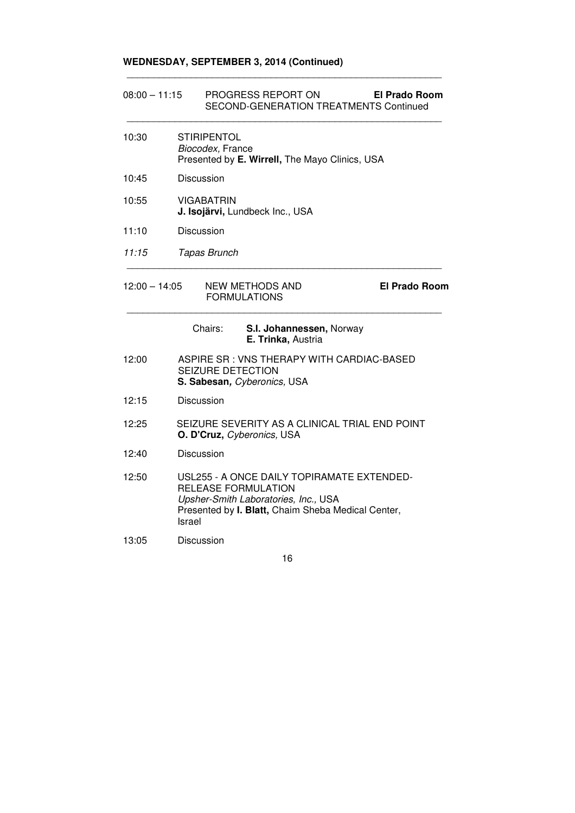## **WEDNESDAY, SEPTEMBER 3, 2014 (Continued)**

| $08:00 - 11:15$ |                                                      | PROGRESS REPORT ON<br>SECOND-GENERATION TREATMENTS Continued                                                                             | El Prado Room        |  |  |
|-----------------|------------------------------------------------------|------------------------------------------------------------------------------------------------------------------------------------------|----------------------|--|--|
| 10:30           | <b>STIRIPENTOL</b><br>Biocodex, France               | Presented by E. Wirrell, The Mayo Clinics, USA                                                                                           |                      |  |  |
| 10:45           | <b>Discussion</b>                                    |                                                                                                                                          |                      |  |  |
| 10:55           | <b>VIGABATRIN</b><br>J. Isojärvi, Lundbeck Inc., USA |                                                                                                                                          |                      |  |  |
| 11:10           | <b>Discussion</b>                                    |                                                                                                                                          |                      |  |  |
| 11:15           | Tapas Brunch                                         |                                                                                                                                          |                      |  |  |
| $12:00 - 14:05$ |                                                      | <b>NEW METHODS AND</b><br><b>FORMULATIONS</b>                                                                                            | <b>El Prado Room</b> |  |  |
|                 | Chairs:                                              | S.I. Johannessen, Norway<br>E. Trinka, Austria                                                                                           |                      |  |  |
| 12:00           | <b>SEIZURE DETECTION</b>                             | ASPIRE SR: VNS THERAPY WITH CARDIAC-BASED<br>S. Sabesan, Cyberonics, USA                                                                 |                      |  |  |
| 12:15           | Discussion                                           |                                                                                                                                          |                      |  |  |
| 12:25           | O. D'Cruz, Cyberonics, USA                           | SEIZURE SEVERITY AS A CLINICAL TRIAL END POINT                                                                                           |                      |  |  |
| 12:40           | Discussion                                           |                                                                                                                                          |                      |  |  |
| 12:50           | RELEASE FORMULATION<br>Israel                        | USL255 - A ONCE DAILY TOPIRAMATE EXTENDED-<br>Upsher-Smith Laboratories, Inc., USA<br>Presented by I. Blatt, Chaim Sheba Medical Center, |                      |  |  |
| 13:05           | Discussion                                           |                                                                                                                                          |                      |  |  |
|                 |                                                      | 16                                                                                                                                       |                      |  |  |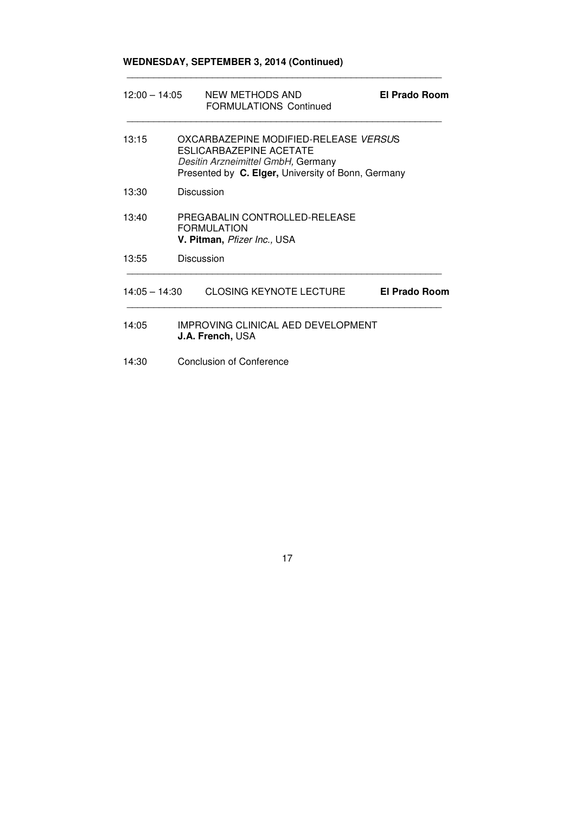## **WEDNESDAY, SEPTEMBER 3, 2014 (Continued)**

| $12:00 - 14:05$ |  | NEW METHODS AND<br><b>FORMULATIONS Continued</b>                                                                                                                    | El Prado Room        |  |
|-----------------|--|---------------------------------------------------------------------------------------------------------------------------------------------------------------------|----------------------|--|
| 13:15           |  | OXCARBAZEPINE MODIFIED-RELEASE VERSUS<br><b>ESLICARBAZEPINE ACETATE</b><br>Desitin Arzneimittel GmbH, Germany<br>Presented by C. Elger, University of Bonn, Germany |                      |  |
| 13:30           |  | Discussion                                                                                                                                                          |                      |  |
| 13:40           |  | PREGABALIN CONTROLLED-RELEASE<br><b>FORMULATION</b><br>V. Pitman, Pfizer Inc., USA                                                                                  |                      |  |
| 13:55           |  | Discussion                                                                                                                                                          |                      |  |
| $14:05 - 14:30$ |  | <b>CLOSING KEYNOTE LECTURE</b>                                                                                                                                      | <b>El Prado Room</b> |  |
| 14:05           |  | IMPROVING CLINICAL AED DEVELOPMENT<br><b>J.A. French, USA</b>                                                                                                       |                      |  |
| 14:30           |  | <b>Conclusion of Conference</b>                                                                                                                                     |                      |  |

\_\_\_\_\_\_\_\_\_\_\_\_\_\_\_\_\_\_\_\_\_\_\_\_\_\_\_\_\_\_\_\_\_\_\_\_\_\_\_\_\_\_\_\_\_\_\_\_\_\_\_\_\_\_\_\_\_\_\_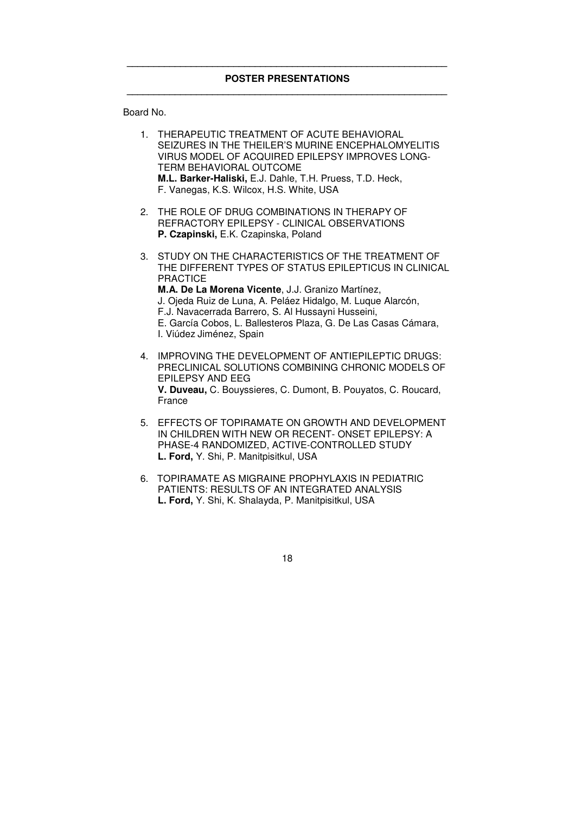Board No.

|               | 1. THERAPEUTIC TREATMENT OF ACUTE BEHAVIORAL<br>SEIZURES IN THE THEILER'S MURINE ENCEPHALOMYELITIS<br>VIRUS MODEL OF ACQUIRED EPILEPSY IMPROVES LONG-<br>TERM BEHAVIORAL OUTCOME<br>M.L. Barker-Haliski, E.J. Dahle, T.H. Pruess, T.D. Heck,<br>F. Vanegas, K.S. Wilcox, H.S. White, USA                                                                                                             |
|---------------|------------------------------------------------------------------------------------------------------------------------------------------------------------------------------------------------------------------------------------------------------------------------------------------------------------------------------------------------------------------------------------------------------|
| $\mathcal{P}$ | THE ROLE OF DRUG COMBINATIONS IN THERAPY OF<br>REFRACTORY EPILEPSY - CLINICAL OBSERVATIONS<br>P. Czapinski, E.K. Czapinska, Poland                                                                                                                                                                                                                                                                   |
| 3.            | STUDY ON THE CHARACTERISTICS OF THE TREATMENT OF<br>THE DIFFERENT TYPES OF STATUS EPILEPTICUS IN CLINICAL<br><b>PRACTICE</b><br>M.A. De La Morena Vicente, J.J. Granizo Martínez,<br>J. Ojeda Ruiz de Luna, A. Peláez Hidalgo, M. Luque Alarcón,<br>F.J. Navacerrada Barrero, S. Al Hussayni Husseini,<br>E. García Cobos, L. Ballesteros Plaza, G. De Las Casas Cámara,<br>I. Viúdez Jiménez, Spain |
| 4             | IMPROVING THE DEVELOPMENT OF ANTIEPILEPTIC DRUGS:<br>PRECLINICAL SOLUTIONS COMBINING CHRONIC MODELS OF<br><b>EPILEPSY AND EEG</b><br>V. Duveau, C. Bouyssieres, C. Dumont, B. Pouyatos, C. Roucard,<br>France                                                                                                                                                                                        |
|               | 5. EFFECTS OF TOPIRAMATE ON GROWTH AND DEVELOPMENT<br>IN CHILDREN WITH NEW OR RECENT-ONSET EPILEPSY: A<br>PHASE-4 RANDOMIZED, ACTIVE-CONTROLLED STUDY<br>L. Ford, Y. Shi, P. Manitpisitkul, USA                                                                                                                                                                                                      |

6. TOPIRAMATE AS MIGRAINE PROPHYLAXIS IN PEDIATRIC PATIENTS: RESULTS OF AN INTEGRATED ANALYSIS **L. Ford,** Y. Shi, K. Shalayda, P. Manitpisitkul, USA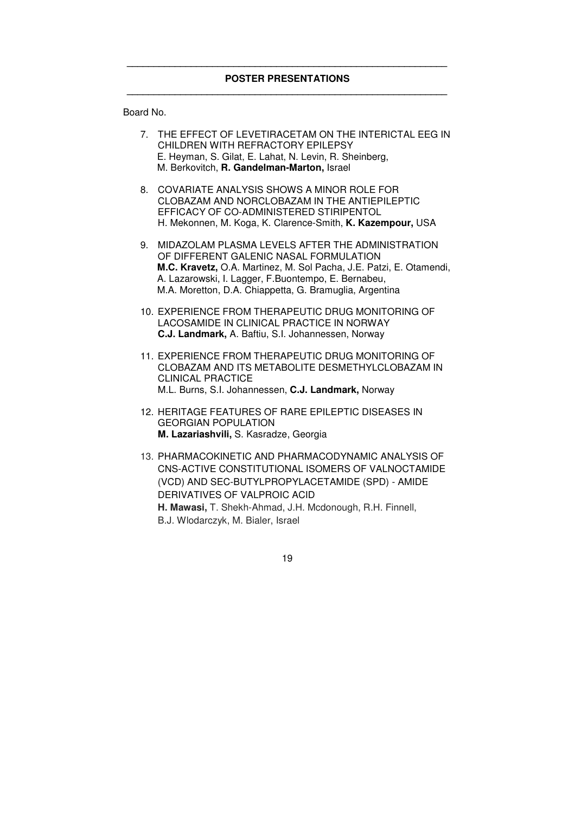Board No.

| 7. THE EFFECT OF LEVETIRACETAM ON THE INTERICTAL EEG IN |
|---------------------------------------------------------|
| CHILDREN WITH REFRACTORY EPILEPSY                       |
| E. Heyman, S. Gilat, E. Lahat, N. Levin, R. Sheinberg,  |
| M. Berkovitch, R. Gandelman-Marton, Israel              |

- 8. COVARIATE ANALYSIS SHOWS A MINOR ROLE FOR CLOBAZAM AND NORCLOBAZAM IN THE ANTIEPILEPTIC EFFICACY OF CO-ADMINISTERED STIRIPENTOL H. Mekonnen, M. Koga, K. Clarence-Smith, **K. Kazempour,** USA
- 9. MIDAZOLAM PLASMA LEVELS AFTER THE ADMINISTRATION OF DIFFERENT GALENIC NASAL FORMULATION  **M.C. Kravetz,** O.A. Martinez, M. Sol Pacha, J.E. Patzi, E. Otamendi, A. Lazarowski, I. Lagger, F.Buontempo, E. Bernabeu, M.A. Moretton, D.A. Chiappetta, G. Bramuglia, Argentina
- 10. EXPERIENCE FROM THERAPEUTIC DRUG MONITORING OF LACOSAMIDE IN CLINICAL PRACTICE IN NORWAY **C.J. Landmark,** A. Baftiu, S.I. Johannessen, Norway
- 11. EXPERIENCE FROM THERAPEUTIC DRUG MONITORING OF CLOBAZAM AND ITS METABOLITE DESMETHYLCLOBAZAM IN CLINICAL PRACTICE M.L. Burns, S.I. Johannessen, **C.J. Landmark,** Norway
- 12. HERITAGE FEATURES OF RARE EPILEPTIC DISEASES IN GEORGIAN POPULATION **M. Lazariashvili,** S. Kasradze, Georgia
- 13. PHARMACOKINETIC AND PHARMACODYNAMIC ANALYSIS OF CNS-ACTIVE CONSTITUTIONAL ISOMERS OF VALNOCTAMIDE (VCD) AND SEC-BUTYLPROPYLACETAMIDE (SPD) - AMIDE DERIVATIVES OF VALPROIC ACID **H. Mawasi,** T. Shekh-Ahmad, J.H. Mcdonough, R.H. Finnell, B.J. Wlodarczyk, M. Bialer, Israel